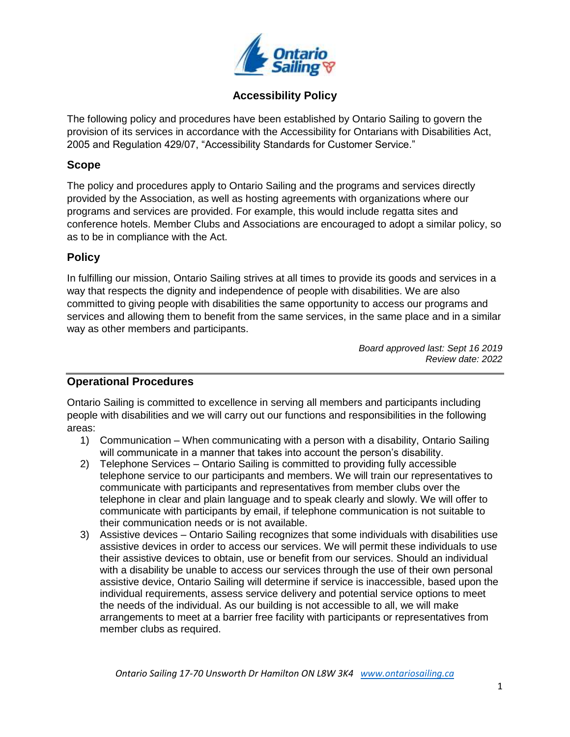

# **Accessibility Policy**

The following policy and procedures have been established by Ontario Sailing to govern the provision of its services in accordance with the Accessibility for Ontarians with Disabilities Act, 2005 and Regulation 429/07, "Accessibility Standards for Customer Service."

### **Scope**

The policy and procedures apply to Ontario Sailing and the programs and services directly provided by the Association, as well as hosting agreements with organizations where our programs and services are provided. For example, this would include regatta sites and conference hotels. Member Clubs and Associations are encouraged to adopt a similar policy, so as to be in compliance with the Act.

### **Policy**

In fulfilling our mission, Ontario Sailing strives at all times to provide its goods and services in a way that respects the dignity and independence of people with disabilities. We are also committed to giving people with disabilities the same opportunity to access our programs and services and allowing them to benefit from the same services, in the same place and in a similar way as other members and participants.

> *Board approved last: Sept 16 2019 Review date: 2022*

## **Operational Procedures**

Ontario Sailing is committed to excellence in serving all members and participants including people with disabilities and we will carry out our functions and responsibilities in the following areas:

- 1) Communication When communicating with a person with a disability, Ontario Sailing will communicate in a manner that takes into account the person's disability.
- 2) Telephone Services Ontario Sailing is committed to providing fully accessible telephone service to our participants and members. We will train our representatives to communicate with participants and representatives from member clubs over the telephone in clear and plain language and to speak clearly and slowly. We will offer to communicate with participants by email, if telephone communication is not suitable to their communication needs or is not available.
- 3) Assistive devices Ontario Sailing recognizes that some individuals with disabilities use assistive devices in order to access our services. We will permit these individuals to use their assistive devices to obtain, use or benefit from our services. Should an individual with a disability be unable to access our services through the use of their own personal assistive device, Ontario Sailing will determine if service is inaccessible, based upon the individual requirements, assess service delivery and potential service options to meet the needs of the individual. As our building is not accessible to all, we will make arrangements to meet at a barrier free facility with participants or representatives from member clubs as required.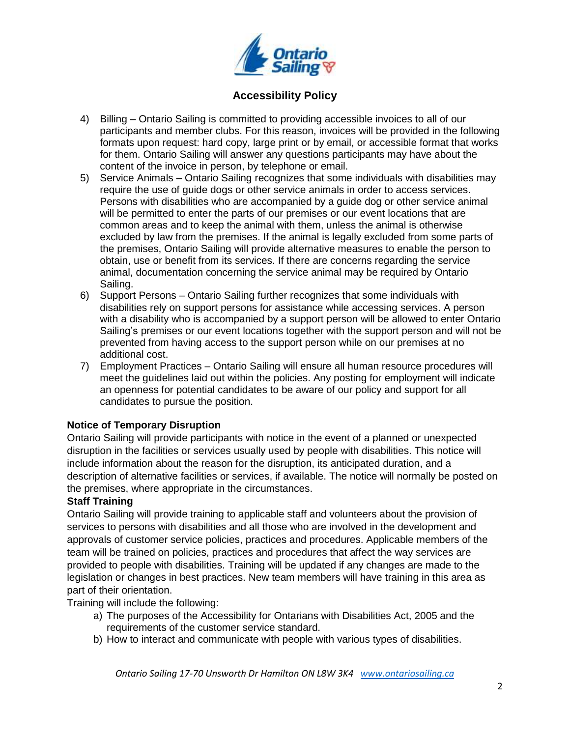

# **Accessibility Policy**

- 4) Billing Ontario Sailing is committed to providing accessible invoices to all of our participants and member clubs. For this reason, invoices will be provided in the following formats upon request: hard copy, large print or by email, or accessible format that works for them. Ontario Sailing will answer any questions participants may have about the content of the invoice in person, by telephone or email.
- 5) Service Animals Ontario Sailing recognizes that some individuals with disabilities may require the use of guide dogs or other service animals in order to access services. Persons with disabilities who are accompanied by a guide dog or other service animal will be permitted to enter the parts of our premises or our event locations that are common areas and to keep the animal with them, unless the animal is otherwise excluded by law from the premises. If the animal is legally excluded from some parts of the premises, Ontario Sailing will provide alternative measures to enable the person to obtain, use or benefit from its services. If there are concerns regarding the service animal, documentation concerning the service animal may be required by Ontario Sailing.
- 6) Support Persons Ontario Sailing further recognizes that some individuals with disabilities rely on support persons for assistance while accessing services. A person with a disability who is accompanied by a support person will be allowed to enter Ontario Sailing's premises or our event locations together with the support person and will not be prevented from having access to the support person while on our premises at no additional cost.
- 7) Employment Practices Ontario Sailing will ensure all human resource procedures will meet the guidelines laid out within the policies. Any posting for employment will indicate an openness for potential candidates to be aware of our policy and support for all candidates to pursue the position.

#### **Notice of Temporary Disruption**

Ontario Sailing will provide participants with notice in the event of a planned or unexpected disruption in the facilities or services usually used by people with disabilities. This notice will include information about the reason for the disruption, its anticipated duration, and a description of alternative facilities or services, if available. The notice will normally be posted on the premises, where appropriate in the circumstances.

#### **Staff Training**

Ontario Sailing will provide training to applicable staff and volunteers about the provision of services to persons with disabilities and all those who are involved in the development and approvals of customer service policies, practices and procedures. Applicable members of the team will be trained on policies, practices and procedures that affect the way services are provided to people with disabilities. Training will be updated if any changes are made to the legislation or changes in best practices. New team members will have training in this area as part of their orientation.

Training will include the following:

- a) The purposes of the Accessibility for Ontarians with Disabilities Act, 2005 and the requirements of the customer service standard.
- b) How to interact and communicate with people with various types of disabilities.